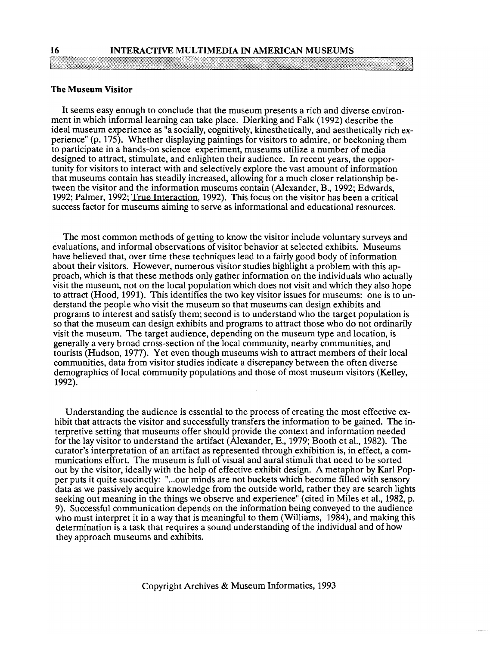## **The Museum Visitor**

It seems easy enough to conclude that the museum presents a rich and diverse environment in which informal learning can take place. Dierking and Falk (1992) describe the ideal museum experience as "a socially, cognitively, kinesthetically, and aesthetically rich experience" (p. 175). Whether displaying paintings for visitors to admire, or beckoning them to participate in a hands-on science experiment, museums utilize a number of media designed to attract, stimulate, and enlighten their audience. In recent years, the opportunity for visitors to interact with and selectively explore the vast amount of information that museums contain has steadily increased, allowing for a much closer relationship between the visitor and the information museums contain (Alexander, B., 1992; Edwards, 1992; Palmer, 1992; True Interaction, 1992). This focus on the visitor has been a critical success factor for museums aiming to serve as informational and educational resources.

The most common methods of getting to know the visitor include voluntary surveys and evaluations, and informal observations of visitor behavior at selected exhibits. Museums have believed that, over time these techniques lead to a fairly good body of information about their visitors. However, numerous visitor studies highlight a problem with this approach, which is that these methods only gather information on the individuals who actually visit the museum, not on the local population which does not visit and which they also hope to attract (Hood, 1991). This identifies the two key visitor issues for museums: one is to understand the people who visit the museum so that museums can design exhibits and programs to interest and satisfy them; second is to understand who the target population is so that the museum can design exhibits and programs to attract those who do not ordinarily visit the museum. The target audience, depending on the museum type and location, is generally a very broad cross-section of the local community, nearby communities, and tourists (Hudson, 1977). Yet even though museums wish to attract members of their local communities, data from visitor studies indicate a discrepancy between the often diverse demographics of local community populations and those of most museum visitors (Kelley, 1992).

Understanding the audience is essential to the process of creating the most effective exhibit that attracts the visitor and successfully transfers the information to be gained. The interpretive setting that museums offer should provide the context and information needed for the lay visitor to understand the artifact (Alexander, E., 1979; Booth et al., 1982). The curator's interpretation of an artifact as represented through exhibition is, in effect, a communications effort. The museum is full of visual and aural stimuli that need to be sorted out by the visitor, ideally with the help of effective exhibit design. **A** metaphor by Karl Popper puts it quite succinctly: "...our minds are not buckets which become filled with sensory data as we passively acquire knowledge from the outside world, rather they are search lights seeking out meaning in the things we observe and experience" (cited in Miles et al., 1982, p. 9). Successful communication depends on the information being conveyed to the audience who must interpret it in a way that is meaningful to them (Williams, 1984), and making this determination is a task that requires a sound understanding of the individual and of how they approach museums and exhibits.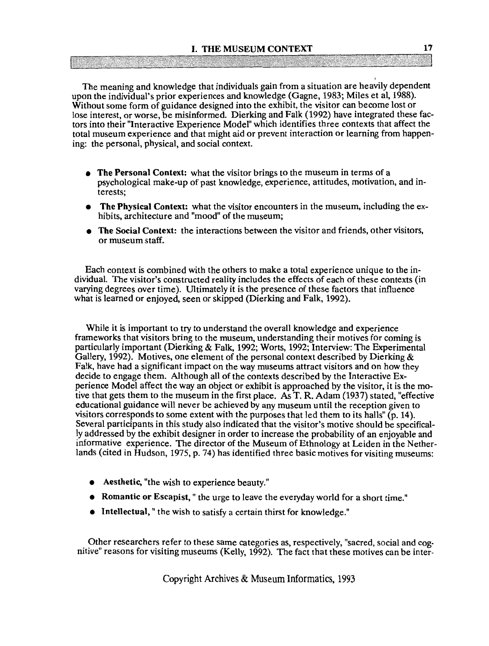The meaning and knowledge that individuals gain from a situation are heavily dependent upon the individual's prior experiences and knowledge (Gagne, 1983; Miles et al, 1988). Without some form of guidance designed into the exhibit, the visitor can become lost or lose interest, or worse, be misinformed. Dierking and Falk (1992) have integrated these factors into their "Interactive Experience Model" which identifies three contexts that affect the total museum experience and that might aid or prevent interaction or learning from happening: the personal, physical, and social context.

- The Personal Context: what the visitor brings to the museum in terms of a psychological make-up of past knowledge, experience, attitudes, motivation, and interests;
- The Physical Context: what the visitor encounters in the museum, including the exhibits, architecture and "mood" of the museum;
- The Social Context: the interactions between the visitor and friends, other visitors, or museum staff.

Each context is combined with the others to make a total experience unique to the individual. The visitor's constructed reality includes the effects of each of these contexts (in varying degrees over time). Ultimately it is the presence of these factors that influence what is learned or enjoyed, seen or skipped (Dierking and Falk, 1992).

While it is important to try to understand the overall knowledge and experience frameworks that visitors bring to the museum, understanding their motives for coming is particularly important (Dierking & Falk, 1992; Worts, 1992; Interview: The Experimental Gallery, 1992). Motives, one element of the personal context described by Dierking  $\&$ Falk, have had a significant impact on the way museums attract visitors and on how they decide to engage them. Although all of the contexts described by the Interactive Experience Model affect the way an object or exhibit is approached by the visitor, it is the motive that gets them to the museum in the first place. **As** T. R. Adam (1937) stated, "effective educational guidance will never be achieved by any museum until the reception given to visitors corresponds to some extent with the purposes that led them to its halls" (p. 14). Several participants in this study also indicated that the visitor's motive should be specifically addressed by the exhibit designer in order to increase the probability of an enjoyable and informative experience. The director of the Museum of Ethnology at Leiden in the Netherlands (cited in Hudson, 1975, p. 74) has identified three basic motives for visiting museums:

- Aesthetic, "the wish to experience beauty."
- Romantic or Escapist, " the urge to leave the everyday world for a short time."
- Intellectual, " the wish to satisfy a certain thirst for knowledge."

Other researchers refer to these same categories as, respectively, "sacred, social and cognitive" reasons for visiting museums (Kelly, 1992). The fact that these motives can be inter-

Copyright Archives & Museum Informatics, 1993